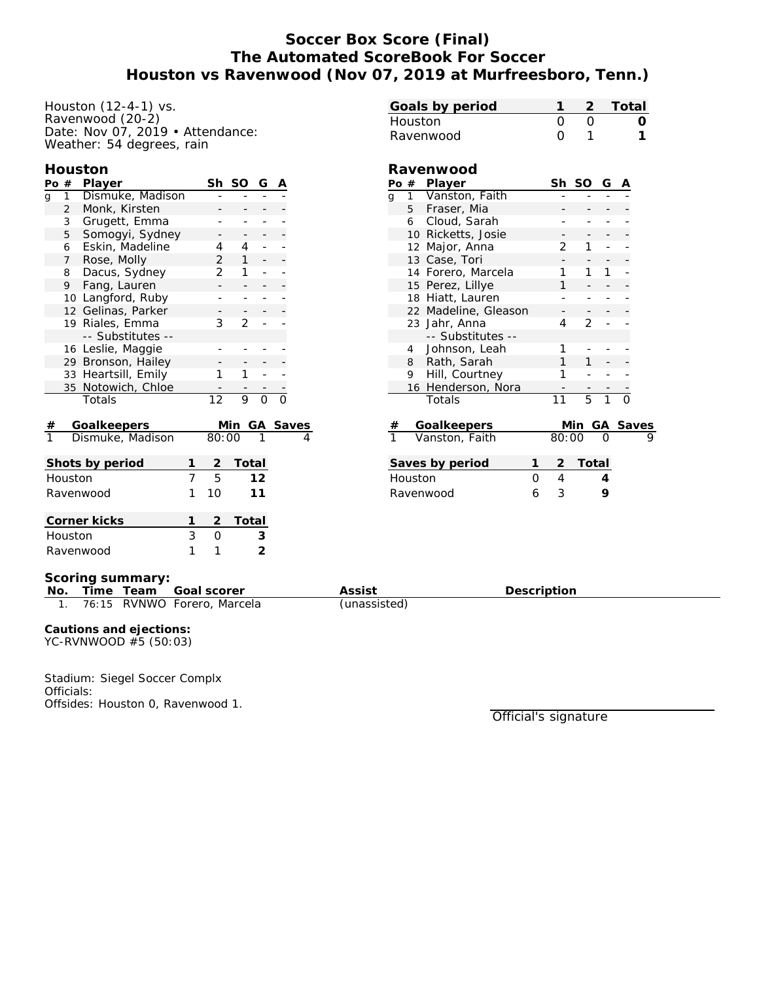# **Soccer Box Score (Final) The Automated ScoreBook For Soccer Houston vs Ravenwood (Nov 07, 2019 at Murfreesboro, Tenn.)**

Houston (12-4-1) vs. Ravenwood (20-2) Date: Nov 07, 2019 • Attendance: Weather: 54 degrees, rain

#### **Houston**

| Po#              |                | Player              |        | Sh              | SO             | G              | Α |       |
|------------------|----------------|---------------------|--------|-----------------|----------------|----------------|---|-------|
| g                | 1              | Dismuke, Madison    |        |                 |                |                |   |       |
|                  | $\overline{2}$ | Monk, Kirsten       |        |                 |                |                |   |       |
|                  | 3              | Grugett, Emma       |        |                 |                |                |   |       |
|                  | 5              | Somogyi, Sydney     |        |                 |                |                |   |       |
|                  | 6              | Eskin, Madeline     |        | 4               | 4              |                |   |       |
|                  | $\overline{7}$ | Rose, Molly         |        | 2               | $\mathbf{1}$   |                |   |       |
|                  | 8              | Dacus, Sydney       |        | $\overline{2}$  | 1              |                |   |       |
|                  | 9              | Fang, Lauren        |        |                 |                |                |   |       |
|                  | 10             | Langford, Ruby      |        |                 |                |                |   |       |
|                  |                | 12 Gelinas, Parker  |        |                 |                | -              |   |       |
|                  | 19             | Riales, Emma        |        | 3               | $\overline{2}$ |                |   |       |
|                  |                | -- Substitutes --   |        |                 |                |                |   |       |
|                  |                | 16 Leslie, Maggie   |        |                 |                |                |   |       |
|                  |                | 29 Bronson, Hailey  |        |                 |                |                |   |       |
|                  |                | 33 Heartsill, Emily |        | 1               | 1              |                |   |       |
|                  |                | 35 Notowich, Chloe  |        |                 |                |                |   |       |
|                  |                | Totals              |        | $\overline{12}$ | 9              | $\overline{O}$ |   |       |
| Goalkeepers<br># |                |                     |        |                 | Min            | GА             |   | Saves |
|                  |                | Dismuke, Madison    |        | 80:00           |                |                |   | 4     |
|                  |                | Shots by period     | 1      | $\overline{2}$  | Total          |                |   |       |
| Houston          |                |                     |        | 5               |                | 12             |   |       |
| Ravenwood        |                |                     | 7<br>1 | 10              |                | 11             |   |       |
|                  |                |                     |        |                 |                |                |   |       |
| Corner kicks     |                |                     |        | 2               | Total          |                |   |       |
| Houston          |                |                     | 3      | 0               |                | 3              |   |       |
| Ravenwood        |                |                     | 1      | 1               |                | $\overline{2}$ |   |       |

| Goals by period      |    |                      |                | 1              |                |                | Total |   |  |  |  |
|----------------------|----|----------------------|----------------|----------------|----------------|----------------|-------|---|--|--|--|
| Houston              |    |                      |                | 0              | O              |                |       |   |  |  |  |
| Ravenwood            |    |                      |                | $\Omega$       | 1              |                |       | 1 |  |  |  |
|                      |    |                      |                |                |                |                |       |   |  |  |  |
| Ravenwood            |    |                      |                |                |                |                |       |   |  |  |  |
|                      |    | Po # Player          |                | Sh             | SO             | G              |       |   |  |  |  |
| q                    |    | 1 Vanston, Faith     |                |                |                |                |       |   |  |  |  |
|                      |    | 5 Fraser, Mia        |                |                |                |                |       |   |  |  |  |
|                      |    | 6 Cloud, Sarah       |                |                |                |                |       |   |  |  |  |
|                      |    | 10 Ricketts, Josie   |                |                |                |                |       |   |  |  |  |
|                      |    | 12 Major, Anna       |                | 2              | 1              |                |       |   |  |  |  |
|                      |    | 13 Case, Tori        |                |                |                |                |       |   |  |  |  |
|                      |    | 14 Forero, Marcela   |                | 1              | 1              | 1              |       |   |  |  |  |
|                      |    | 15 Perez, Lillye     |                | 1              |                |                |       |   |  |  |  |
|                      |    | 18 Hiatt, Lauren     |                |                |                |                |       |   |  |  |  |
|                      |    | 22 Madeline, Gleason |                |                |                |                |       |   |  |  |  |
|                      |    | 23 Jahr, Anna        |                | 4              | $\overline{2}$ | ÷,             |       |   |  |  |  |
|                      |    | -- Substitutes --    |                |                |                |                |       |   |  |  |  |
|                      | 4  | Johnson, Leah        |                | 1              |                |                |       |   |  |  |  |
|                      | 8  | Rath, Sarah          |                | 1              | 1              |                |       |   |  |  |  |
|                      | 9. | Hill, Courtney       |                | 1              |                |                |       |   |  |  |  |
|                      |    | 16 Henderson, Nora   |                |                |                |                |       |   |  |  |  |
|                      |    | Totals               |                | 11             | $\overline{5}$ | $\overline{1}$ |       |   |  |  |  |
|                      |    |                      |                |                |                |                |       |   |  |  |  |
|                      |    | Goalkeepers          |                | 80:00          | Min            | GА             | Save: |   |  |  |  |
|                      |    | Vanston, Faith       |                |                |                |                |       |   |  |  |  |
| Saves by period<br>1 |    |                      |                | $\overline{2}$ | <u>Total</u>   |                |       |   |  |  |  |
| Houston<br>$\Omega$  |    |                      | $\overline{4}$ |                | 4              |                |       |   |  |  |  |
| 6<br>Ravenwood       |    |                      |                | 3              |                | 9              |       |   |  |  |  |
|                      |    |                      |                |                |                |                |       |   |  |  |  |
|                      |    |                      |                |                |                |                |       |   |  |  |  |

**Scoring summary:**

**No. Time Team Goal scorer Assist Description** 1. 76:15 RVNWO Forero, Marcela (unassisted)

**Cautions and ejections:** YC-RVNWOOD #5 (50:03)

Stadium: Siegel Soccer Complx Officials: Offsides: Houston 0, Ravenwood 1.

Official's signature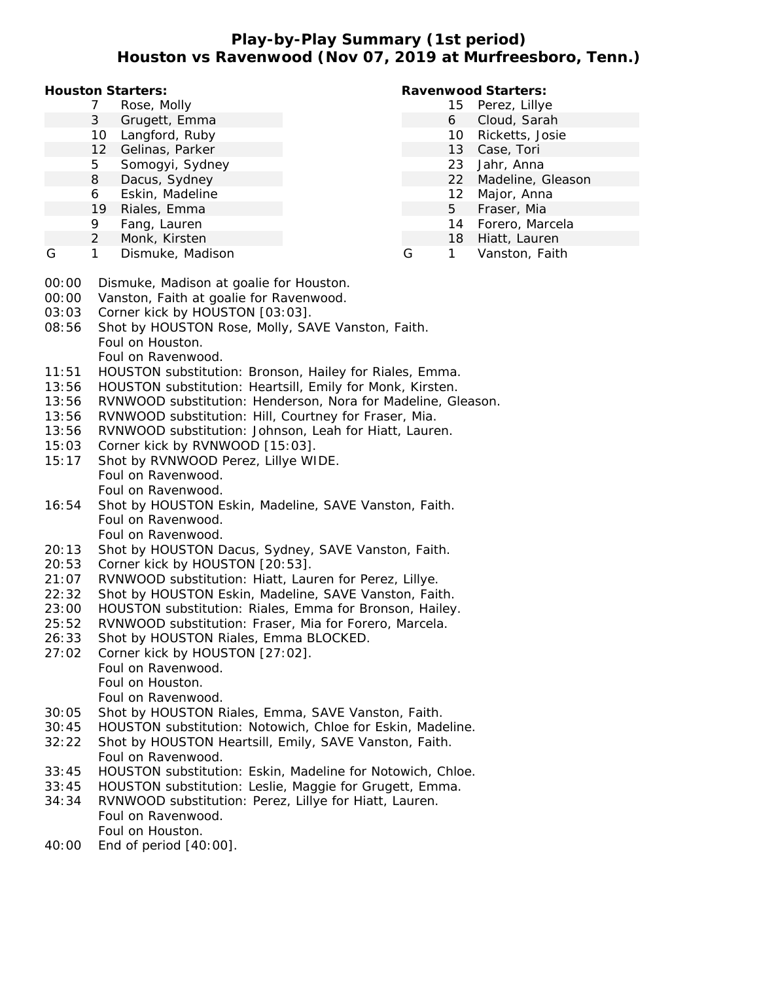## **Play-by-Play Summary (1st period) Houston vs Ravenwood (Nov 07, 2019 at Murfreesboro, Tenn.)**

**Houston Starters:**

- 7 Rose, Molly
- 3 Grugett, Emma
- 10 Langford, Ruby
- 12 Gelinas, Parker
- 5 Somogyi, Sydney
- 8 Dacus, Sydney
- 6 Eskin, Madeline
- 19 Riales, Emma
- 9 Fang, Lauren
- 2 Monk, Kirsten
- G 1 Dismuke, Madison

### **Ravenwood Starters:**

- 15 Perez, Lillye
	- 6 Cloud, Sarah
	- 10 Ricketts, Josie
	- 13 Case, Tori
	- 23 Jahr, Anna
	- 22 Madeline, Gleason
	- 12 Major, Anna
	- 5 Fraser, Mia
	- 14 Forero, Marcela
- 18 Hiatt, Lauren
- G 1 Vanston, Faith
- 00:00 Dismuke, Madison at goalie for Houston.
- 00:00 Vanston, Faith at goalie for Ravenwood.
- 03:03 Corner kick by HOUSTON [03:03].
- 08:56 Shot by HOUSTON Rose, Molly, SAVE Vanston, Faith. Foul on Houston. Foul on Ravenwood.
- 11:51 HOUSTON substitution: Bronson, Hailey for Riales, Emma.
- 13:56 HOUSTON substitution: Heartsill, Emily for Monk, Kirsten.
- 13:56 RVNWOOD substitution: Henderson, Nora for Madeline, Gleason.
- 13:56 RVNWOOD substitution: Hill, Courtney for Fraser, Mia.
- 13:56 RVNWOOD substitution: Johnson, Leah for Hiatt, Lauren.
- 15:03 Corner kick by RVNWOOD [15:03].
- 15:17 Shot by RVNWOOD Perez, Lillye WIDE. Foul on Ravenwood. Foul on Ravenwood.
- 16:54 Shot by HOUSTON Eskin, Madeline, SAVE Vanston, Faith. Foul on Ravenwood. Foul on Ravenwood.
- 20:13 Shot by HOUSTON Dacus, Sydney, SAVE Vanston, Faith.
- 20:53 Corner kick by HOUSTON [20:53].
- 21:07 RVNWOOD substitution: Hiatt, Lauren for Perez, Lillye.
- 22:32 Shot by HOUSTON Eskin, Madeline, SAVE Vanston, Faith.
- 23:00 HOUSTON substitution: Riales, Emma for Bronson, Hailey.
- 25:52 RVNWOOD substitution: Fraser, Mia for Forero, Marcela.
- 26:33 Shot by HOUSTON Riales, Emma BLOCKED.
- 27:02 Corner kick by HOUSTON [27:02]. Foul on Ravenwood. Foul on Houston. Foul on Ravenwood.
- 30:05 Shot by HOUSTON Riales, Emma, SAVE Vanston, Faith.
- 30:45 HOUSTON substitution: Notowich, Chloe for Eskin, Madeline.
- 32:22 Shot by HOUSTON Heartsill, Emily, SAVE Vanston, Faith. Foul on Ravenwood.
- 33:45 HOUSTON substitution: Eskin, Madeline for Notowich, Chloe.
- 33:45 HOUSTON substitution: Leslie, Maggie for Grugett, Emma.
- 34:34 RVNWOOD substitution: Perez, Lillye for Hiatt, Lauren. Foul on Ravenwood. Foul on Houston.
- 40:00 End of period [40:00].